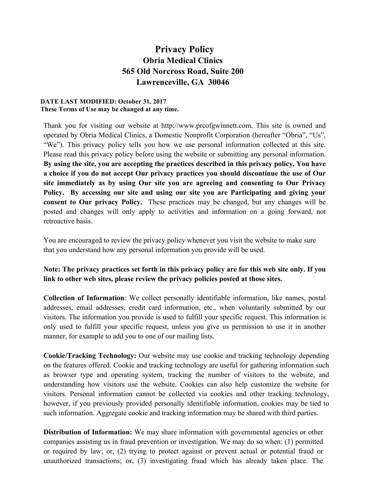## **Privacy Policy Obria Medical Clinics 565 Old Norcross Road, Suite 200 Lawrenceville, GA 30046**

## **DATE LAST MODIFIED: October 31, 2017 These Terms of Use may be changed at any time.**

Thank you for visiting our website at http://www.prcofgwinnett.com. This site is owned and operated by Obria Medical Clinics, a Domestic Nonprofit Corporation (hereafter "Obria", "Us", "We"). This privacy policy tells you how we use personal information collected at this site. Please read this privacy policy before using the website or submitting any personal information. **By using the site, you are accepting the practices described in this privacy policy. You have a choice if you do not accept Our privacy practices you should discontinue the use of Our site immediately as by using Our site you are agreeing and consenting to Our Privacy Policy. By accessing our site and using our site you are Participating and giving your consent to Our privacy Policy.** These practices may be changed, but any changes will be posted and changes will only apply to activities and information on a going forward, not retroactive basis.

You are encouraged to review the privacy policy whenever you visit the website to make sure that you understand how any personal information you provide will be used.

## **Note: The privacy practices set forth in this privacy policy are for this web site only. If you link to other web sites, please review the privacy policies posted at those sites.**

**Collection of Information**: We collect personally identifiable information, like names, postal addresses, email addresses, credit card information, etc., when voluntarily submitted by our visitors. The information you provide is used to fulfill your specific request. This information is only used to fulfill your specific request, unless you give us permission to use it in another manner, for example to add you to one of our mailing lists.

**Cookie/Tracking Technology:** Our website may use cookie and tracking technology depending on the features offered. Cookie and tracking technology are useful for gathering information such as browser type and operating system, tracking the number of visitors to the website, and understanding how visitors use the website. Cookies can also help customize the website for visitors. Personal information cannot be collected via cookies and other tracking technology, however, if you previously provided personally identifiable information, cookies may be tied to such information. Aggregate cookie and tracking information may be shared with third parties.

**Distribution of Information:** We may share information with governmental agencies or other companies assisting us in fraud prevention or investigation. We may do so when: (1) permitted or required by law; or, (2) trying to protect against or prevent actual or potential fraud or unauthorized transactions; or, (3) investigating fraud which has already taken place. The